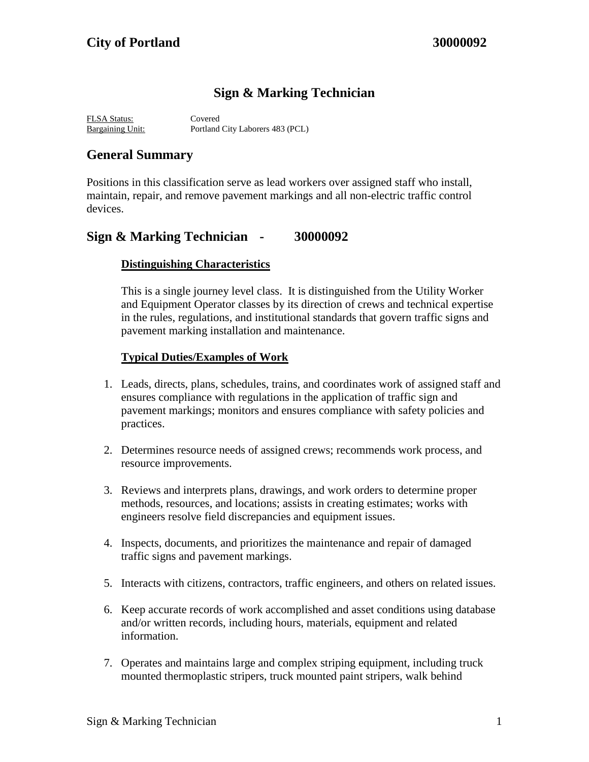# **Sign & Marking Technician**

FLSA Status: Covered Bargaining Unit: Portland City Laborers 483 (PCL)

## **General Summary**

Positions in this classification serve as lead workers over assigned staff who install, maintain, repair, and remove pavement markings and all non-electric traffic control devices.

### **Sign & Marking Technician - 30000092**

### **Distinguishing Characteristics**

This is a single journey level class. It is distinguished from the Utility Worker and Equipment Operator classes by its direction of crews and technical expertise in the rules, regulations, and institutional standards that govern traffic signs and pavement marking installation and maintenance.

#### **Typical Duties/Examples of Work**

- 1. Leads, directs, plans, schedules, trains, and coordinates work of assigned staff and ensures compliance with regulations in the application of traffic sign and pavement markings; monitors and ensures compliance with safety policies and practices.
- 2. Determines resource needs of assigned crews; recommends work process, and resource improvements.
- 3. Reviews and interprets plans, drawings, and work orders to determine proper methods, resources, and locations; assists in creating estimates; works with engineers resolve field discrepancies and equipment issues.
- 4. Inspects, documents, and prioritizes the maintenance and repair of damaged traffic signs and pavement markings.
- 5. Interacts with citizens, contractors, traffic engineers, and others on related issues.
- 6. Keep accurate records of work accomplished and asset conditions using database and/or written records, including hours, materials, equipment and related information.
- 7. Operates and maintains large and complex striping equipment, including truck mounted thermoplastic stripers, truck mounted paint stripers, walk behind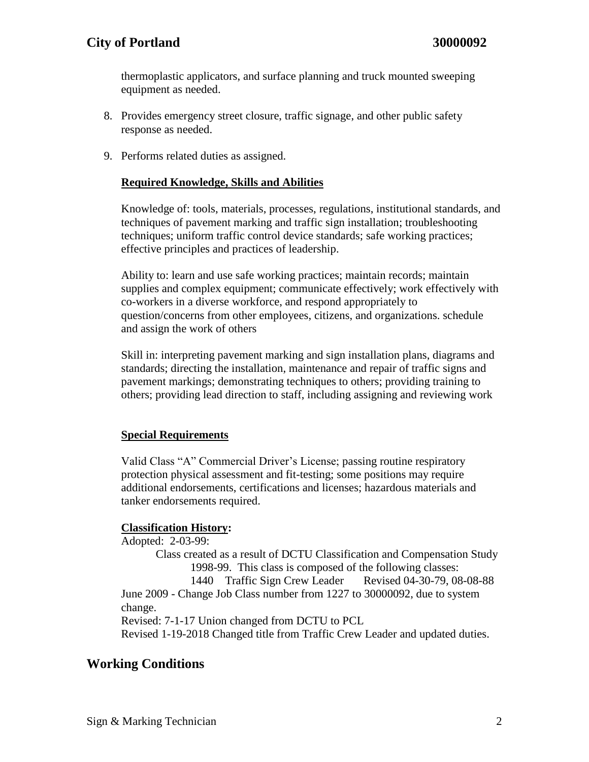thermoplastic applicators, and surface planning and truck mounted sweeping equipment as needed.

- 8. Provides emergency street closure, traffic signage, and other public safety response as needed.
- 9. Performs related duties as assigned.

#### **Required Knowledge, Skills and Abilities**

Knowledge of: tools, materials, processes, regulations, institutional standards, and techniques of pavement marking and traffic sign installation; troubleshooting techniques; uniform traffic control device standards; safe working practices; effective principles and practices of leadership.

Ability to: learn and use safe working practices; maintain records; maintain supplies and complex equipment; communicate effectively; work effectively with co-workers in a diverse workforce, and respond appropriately to question/concerns from other employees, citizens, and organizations. schedule and assign the work of others

Skill in: interpreting pavement marking and sign installation plans, diagrams and standards; directing the installation, maintenance and repair of traffic signs and pavement markings; demonstrating techniques to others; providing training to others; providing lead direction to staff, including assigning and reviewing work

#### **Special Requirements**

Valid Class "A" Commercial Driver's License; passing routine respiratory protection physical assessment and fit-testing; some positions may require additional endorsements, certifications and licenses; hazardous materials and tanker endorsements required.

### **Classification History:**

Adopted: 2-03-99: Class created as a result of DCTU Classification and Compensation Study 1998-99. This class is composed of the following classes: 1440 Traffic Sign Crew Leader Revised 04-30-79, 08-08-88 June 2009 - Change Job Class number from 1227 to 30000092, due to system change. Revised: 7-1-17 Union changed from DCTU to PCL Revised 1-19-2018 Changed title from Traffic Crew Leader and updated duties.

## **Working Conditions**